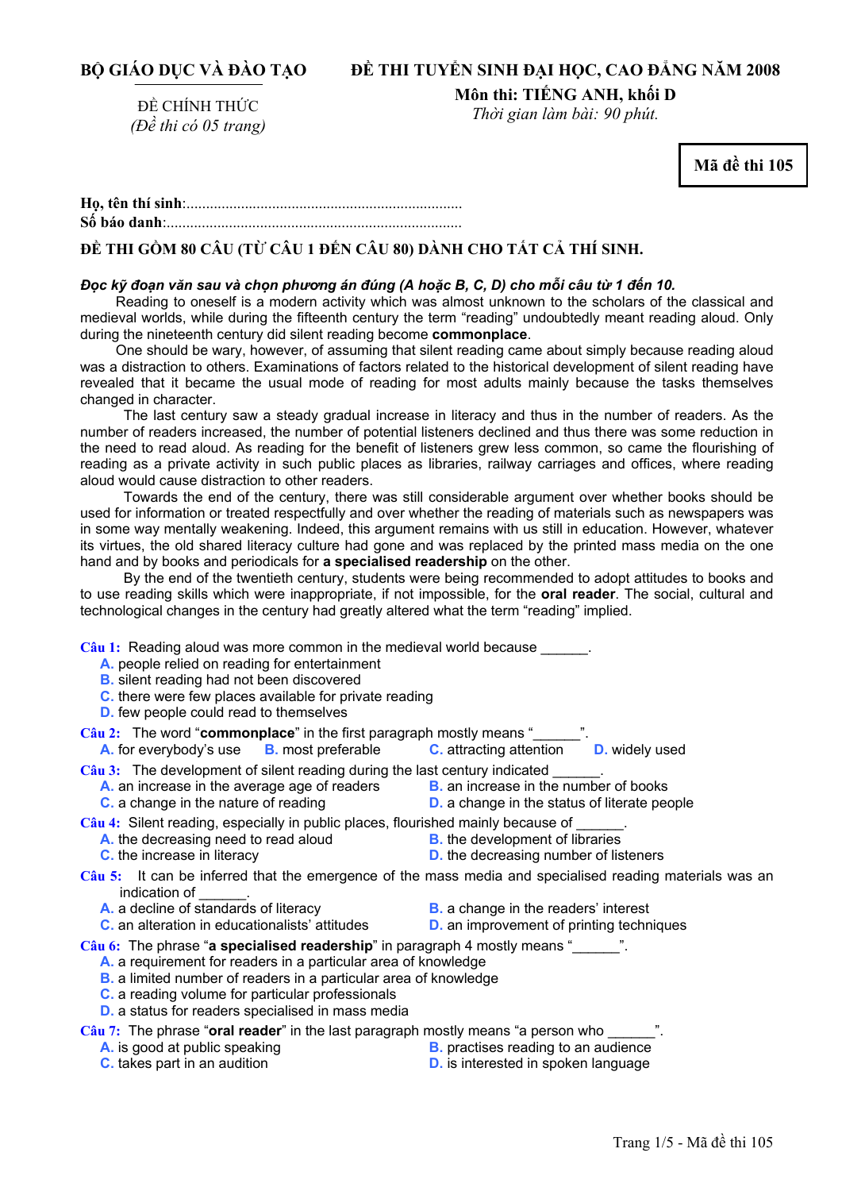## **ĐỀ THI TUYỂN SINH ĐẠI HỌC, CAO ĐẲNG NĂM 2008**

# ĐỀ CHÍNH THỨC *(Đề thi có 05 trang)*

**Môn thi: TIẾNG ANH, khối D**  *Thời gian làm bài: 90 phút.* 

**Mã đề thi 105** 

# **ĐỀ THI GỒM 80 CÂU (TỪ CÂU 1 ĐẾN CÂU 80) DÀNH CHO TẤT CẢ THÍ SINH.**

#### Đọc kỹ đoạn văn sau và chọn phương án đúng (A hoặc B, C, D) cho mỗi câu từ 1 đến 10.

Reading to oneself is a modern activity which was almost unknown to the scholars of the classical and medieval worlds, while during the fifteenth century the term "reading" undoubtedly meant reading aloud. Only during the nineteenth century did silent reading become **commonplace**.

 One should be wary, however, of assuming that silent reading came about simply because reading aloud was a distraction to others. Examinations of factors related to the historical development of silent reading have revealed that it became the usual mode of reading for most adults mainly because the tasks themselves changed in character.

 The last century saw a steady gradual increase in literacy and thus in the number of readers. As the number of readers increased, the number of potential listeners declined and thus there was some reduction in the need to read aloud. As reading for the benefit of listeners grew less common, so came the flourishing of reading as a private activity in such public places as libraries, railway carriages and offices, where reading aloud would cause distraction to other readers.

 Towards the end of the century, there was still considerable argument over whether books should be used for information or treated respectfully and over whether the reading of materials such as newspapers was in some way mentally weakening. Indeed, this argument remains with us still in education. However, whatever its virtues, the old shared literacy culture had gone and was replaced by the printed mass media on the one hand and by books and periodicals for **a specialised readership** on the other.

 By the end of the twentieth century, students were being recommended to adopt attitudes to books and to use reading skills which were inappropriate, if not impossible, for the **oral reader**. The social, cultural and technological changes in the century had greatly altered what the term "reading" implied.

**Câu 1:** Reading aloud was more common in the medieval world because \_\_\_\_\_\_.

- **A.** people relied on reading for entertainment
- **B.** silent reading had not been discovered
- **C.** there were few places available for private reading
- **D.** few people could read to themselves

**Câu 2:** The word "**commonplace**" in the first paragraph mostly means "

**A.** for everybody's use **B.** most preferable **C.** attracting attention **D.** widely used

Câu 3: The development of silent reading during the last century indicated \_\_\_\_\_\_.<br>A. an increase in the average age of readers B. an increase in the number of books

- **A.** an increase in the average age of readers
- 
- **C.** a change in the nature of reading **D. D.** a change in the status of literate people

Câu 4: Silent reading, especially in public places, flourished mainly because of

- **A.** the decreasing need to read aloud **B.** the development of libraries
- 
- **C.** the increase in literacy **D. D.** the decreasing number of listeners
- **Câu 5:** It can be inferred that the emergence of the mass media and specialised reading materials was an indication of
	- **A.** a decline of standards of literacy **B.** a change in the readers' interest
		-
	- **C.** an alteration in educationalists' attitudes **D.** an improvement of printing techniques
- 

**Câu 6:** The phrase "**a specialised readership**" in paragraph 4 mostly means "\_\_\_\_\_\_".

- **A.** a requirement for readers in a particular area of knowledge
- **B.** a limited number of readers in a particular area of knowledge
- **C.** a reading volume for particular professionals
- **D.** a status for readers specialised in mass media

**Câu 7:** The phrase "**oral reader**" in the last paragraph mostly means "a person who \_\_\_\_\_\_".

- 
- **A.** is good at public speaking **B.** practises reading to an audience
- 
- **C.** takes part in an audition **D.** is interested in spoken language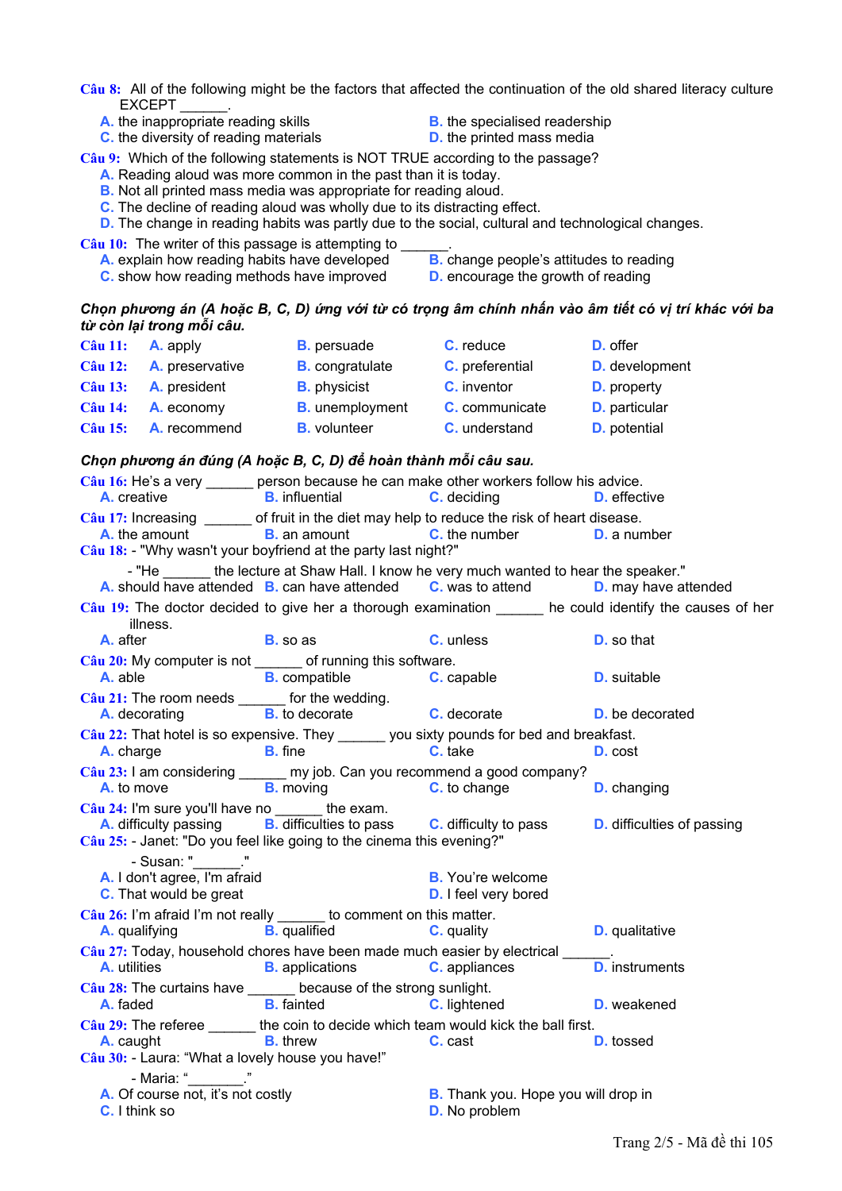Câu 8: All of the following might be the factors that affected the continuation of the old shared literacy culture **EXCEPT** 

- A. the inappropriate reading skills
- **C.** the diversity of reading materials
- **B.** the specialised readership
- **D.** the printed mass media

Câu 9: Which of the following statements is NOT TRUE according to the passage?

- A. Reading aloud was more common in the past than it is today.
- **B.** Not all printed mass media was appropriate for reading aloud.
- C. The decline of reading aloud was wholly due to its distracting effect.
- **D.** The change in reading habits was partly due to the social, cultural and technological changes.
- Câu 10: The writer of this passage is attempting to \_ A. explain how reading habits have developed
	- **B.** change people's attitudes to reading
	- C. show how reading methods have improved
- **D.** encourage the growth of reading

### Chọn phương án (A hoặc B, C, D) ứng với từ có trọng âm chính nhấn vào âm tiết có vị trí khác với ba từ còn lại trong mỗi câu.

| $C\hat{a}$ u 11:     |                                                                                             | <b>A.</b> apply <b>B.</b> persuade <b>C.</b> reduce                                   |                                                                                                                                                      | <b>D.</b> offer                                                                                          |
|----------------------|---------------------------------------------------------------------------------------------|---------------------------------------------------------------------------------------|------------------------------------------------------------------------------------------------------------------------------------------------------|----------------------------------------------------------------------------------------------------------|
|                      |                                                                                             |                                                                                       | Câu 12: A. preservative B. congratulate C. preferential D. development                                                                               |                                                                                                          |
| <b>Câu 13:</b>       |                                                                                             |                                                                                       | <b>A.</b> president <b>B.</b> physicist <b>C.</b> inventor <b>D.</b> property                                                                        |                                                                                                          |
| $C\hat{a}$ u 14:     |                                                                                             |                                                                                       | A. economy B. unemployment C. communicate D. particular                                                                                              |                                                                                                          |
|                      | $C\hat{a}$ u 15: <b>A.</b> recommend                                                        |                                                                                       | <b>B.</b> volunteer <b>C.</b> understand <b>D.</b> potential                                                                                         |                                                                                                          |
|                      |                                                                                             | Chọn phương án đúng (A hoặc B, C, D) để hoàn thành mỗi câu sau.                       |                                                                                                                                                      |                                                                                                          |
| A. creative          |                                                                                             | <b>B.</b> influential                                                                 | Câu 16: He's a very ______ person because he can make other workers follow his advice.<br><b>C.</b> deciding                                         | <b>D.</b> effective                                                                                      |
|                      |                                                                                             | Câu 18: - "Why wasn't your boyfriend at the party last night?"                        | Câu 17: Increasing ______ of fruit in the diet may help to reduce the risk of heart disease.<br>A. the amount B. an amount C. the number D. a number |                                                                                                          |
|                      |                                                                                             |                                                                                       | - "He _______ the lecture at Shaw Hall. I know he very much wanted to hear the speaker."                                                             |                                                                                                          |
|                      |                                                                                             |                                                                                       | A. should have attended B. can have attended C. was to attend                                                                                        | <b>D.</b> may have attended                                                                              |
|                      | illness.                                                                                    |                                                                                       |                                                                                                                                                      | Câu 19: The doctor decided to give her a thorough examination ______ he could identify the causes of her |
| A. after             |                                                                                             | <b>B</b> so as <b>C</b> unless                                                        |                                                                                                                                                      | <b>D.</b> so that                                                                                        |
|                      |                                                                                             | Câu 20: My computer is not ______ of running this software.                           | <b>A.</b> able <b>B.</b> compatible <b>C.</b> capable                                                                                                | <b>D.</b> suitable                                                                                       |
|                      | Câu 21: The room needs _______ for the wedding.                                             |                                                                                       | A. decorating B. to decorate C. decorate                                                                                                             | <b>D.</b> be decorated                                                                                   |
|                      |                                                                                             |                                                                                       | Câu 22: That hotel is so expensive. They ______ you sixty pounds for bed and breakfast.                                                              |                                                                                                          |
|                      | A. charge B. fine                                                                           |                                                                                       | <b>C.</b> take                                                                                                                                       | D. cost                                                                                                  |
|                      |                                                                                             |                                                                                       | Câu 23: I am considering ______ my job. Can you recommend a good company?<br><b>A.</b> to move <b>B.</b> moving <b>C.</b> to change                  | <b>D.</b> changing                                                                                       |
|                      | $\frac{\text{C}\hat{\mathbf{a}}\mathbf{u}}{24}$ : I'm sure you'll have no _______ the exam. | Câu 25: - Janet: "Do you feel like going to the cinema this evening?"                 | A. difficulty passing B. difficulties to pass C. difficulty to pass                                                                                  | <b>D.</b> difficulties of passing                                                                        |
|                      | - Susan: " "<br>A. I don't agree, I'm afraid<br>C. That would be great                      |                                                                                       | <b>B.</b> You're welcome<br><b>D.</b> I feel very bored                                                                                              |                                                                                                          |
|                      |                                                                                             | Câu 26: I'm afraid I'm not really ______ to comment on this matter.                   | <b>A.</b> qualifying <b>B.</b> qualified <b>C.</b> quality                                                                                           | <b>D.</b> qualitative                                                                                    |
|                      |                                                                                             |                                                                                       | Câu 27: Today, household chores have been made much easier by electrical ______.<br><b>A.</b> utilities <b>B.</b> applications <b>C.</b> appliances  | <b>D.</b> instruments                                                                                    |
| A. faded             |                                                                                             | Câu 28: The curtains have ______ because of the strong sunlight.<br><b>B.</b> fainted | C. lightened                                                                                                                                         | <b>D.</b> weakened                                                                                       |
| A. caught            | Câu 30: - Laura: "What a lovely house you have!"                                            | <b>B.</b> threw                                                                       | Câu 29: The referee _______ the coin to decide which team would kick the ball first.<br>C. cast                                                      | <b>D.</b> tossed                                                                                         |
| <b>C.</b> I think so | - Maria: "<br>A. Of course not, it's not costly                                             |                                                                                       | <b>B.</b> Thank you. Hope you will drop in<br><b>D.</b> No problem                                                                                   |                                                                                                          |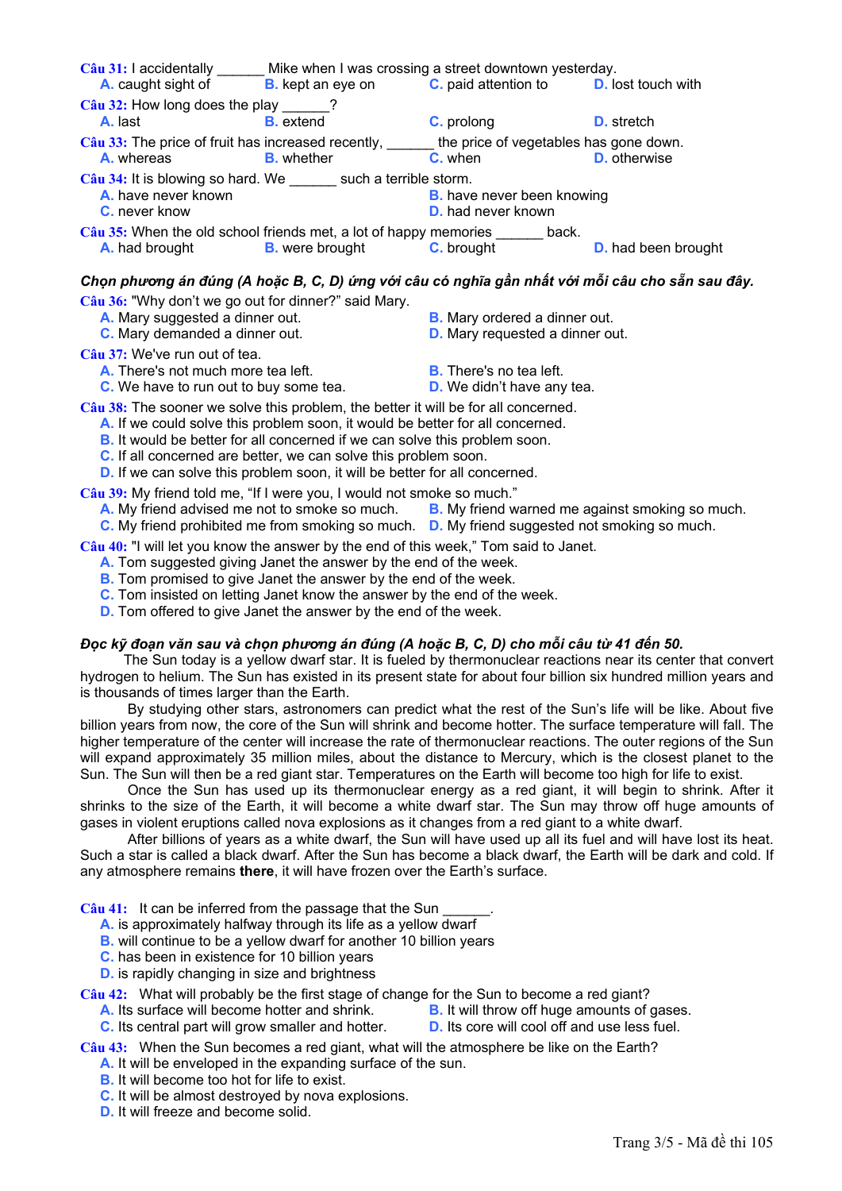| Mike when I was crossing a street downtown yesterday.<br>Câu 31: I accidentally                         |                          |                                                                |                            |
|---------------------------------------------------------------------------------------------------------|--------------------------|----------------------------------------------------------------|----------------------------|
| A. caught sight of                                                                                      | <b>B.</b> kept an eye on | <b>C.</b> paid attention to <b>D.</b> lost touch with          |                            |
| $\frac{1}{2}$ Câu 32: How long does the play 2<br>A. last                                               | <b>B.</b> extend         | <b>C.</b> prolong                                              | <b>D.</b> stretch          |
| Câu 33: The price of fruit has increased recently,<br>A. whereas                                        | <b>B.</b> whether        | the price of vegetables has gone down.<br>C. when              | <b>D.</b> otherwise        |
| Câu 34: It is blowing so hard. We such a terrible storm.<br>A. have never known<br><b>C.</b> never know |                          | <b>B.</b> have never been knowing<br><b>D.</b> had never known |                            |
| Câu 35: When the old school friends met, a lot of happy memories ______ back.<br><b>A.</b> had brought  | <b>B.</b> were brought   | <b>C.</b> brought                                              | <b>D.</b> had been brought |

## Chọn phương án đúng (A hoặc B, C, D) ứng với câu có nghĩa gần nhất với mỗi câu cho sẵn sau đây.

**Câu 36:** "Why don't we go out for dinner?" said Mary.

- **A.** Mary suggested a dinner out. **B.** Mary ordered a dinner out.
- 
- 
- **C.** Mary demanded a dinner out. **D.** Mary requested a dinner out.

**Câu 37:** We've run out of tea.

- **A.** There's not much more tea left. **B.** There's no tea left.
- **C.** We have to run out to buy some tea. **D.** We didn't have any tea.

**Câu 38:** The sooner we solve this problem, the better it will be for all concerned.

- **A.** If we could solve this problem soon, it would be better for all concerned.
- **B.** It would be better for all concerned if we can solve this problem soon.
- **C.** If all concerned are better, we can solve this problem soon.
- **D.** If we can solve this problem soon, it will be better for all concerned.

**Câu 39:** My friend told me, "If I were you, I would not smoke so much."

- **A.** My friend advised me not to smoke so much. **B.** My friend warned me against smoking so much.
- **C.** My friend prohibited me from smoking so much. **D.** My friend suggested not smoking so much.

**Câu 40:** "I will let you know the answer by the end of this week," Tom said to Janet.

- **A.** Tom suggested giving Janet the answer by the end of the week.
- **B.** Tom promised to give Janet the answer by the end of the week.
- **C.** Tom insisted on letting Janet know the answer by the end of the week.
- **D.** Tom offered to give Janet the answer by the end of the week.

## Đọc kỹ đoạn văn sau và chon phương án đúng (A hoặc B, C, D) cho mỗi câu từ 41 đến 50.

The Sun today is a yellow dwarf star. It is fueled by thermonuclear reactions near its center that convert hydrogen to helium. The Sun has existed in its present state for about four billion six hundred million years and is thousands of times larger than the Earth.

 By studying other stars, astronomers can predict what the rest of the Sun's life will be like. About five billion years from now, the core of the Sun will shrink and become hotter. The surface temperature will fall. The higher temperature of the center will increase the rate of thermonuclear reactions. The outer regions of the Sun will expand approximately 35 million miles, about the distance to Mercury, which is the closest planet to the Sun. The Sun will then be a red giant star. Temperatures on the Earth will become too high for life to exist.

 Once the Sun has used up its thermonuclear energy as a red giant, it will begin to shrink. After it shrinks to the size of the Earth, it will become a white dwarf star. The Sun may throw off huge amounts of gases in violent eruptions called nova explosions as it changes from a red giant to a white dwarf.

 After billions of years as a white dwarf, the Sun will have used up all its fuel and will have lost its heat. Such a star is called a black dwarf. After the Sun has become a black dwarf, the Earth will be dark and cold. If any atmosphere remains **there**, it will have frozen over the Earth's surface.

Câu 41: It can be inferred from the passage that the Sun

- **A.** is approximately halfway through its life as a yellow dwarf
- **B.** will continue to be a yellow dwarf for another 10 billion years
- **C.** has been in existence for 10 billion years
- **D.** is rapidly changing in size and brightness
- **Câu 42:** What will probably be the first stage of change for the Sun to become a red giant?
	- **A.** Its surface will become hotter and shrink. **B.** It will throw off huge amounts of gases.
	- **C.** Its central part will grow smaller and hotter. **D.** Its core will cool off and use less fuel.
		-

#### **Câu 43:** When the Sun becomes a red giant, what will the atmosphere be like on the Earth?

- **A.** It will be enveloped in the expanding surface of the sun.
- **B.** It will become too hot for life to exist.
- **C.** It will be almost destroyed by nova explosions.
- **D.** It will freeze and become solid.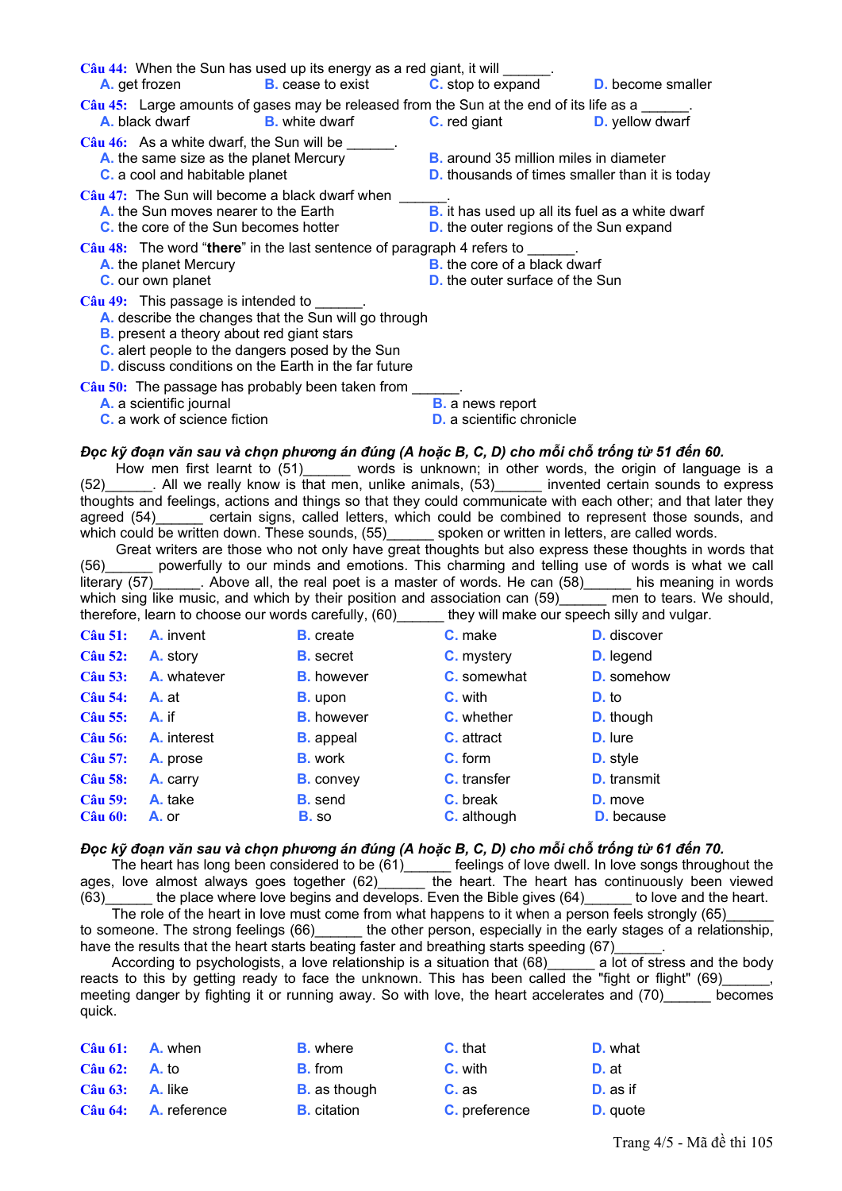| $C\hat{a}u$ 44: When the Sun has used up its energy as a red giant, it will $\frac{1}{\cdot}$ .<br><b>A.</b> get frozen                                                                                                                                                                                                                        | <b>B.</b> cease to exist | <b>C</b> . stop to expand                                                     | <b>D.</b> become smaller                                                                                                                                                                                                                                                                                                                                                                                                                                                                                                                                                                                                                                                                                                                                                                                                                                                                            |
|------------------------------------------------------------------------------------------------------------------------------------------------------------------------------------------------------------------------------------------------------------------------------------------------------------------------------------------------|--------------------------|-------------------------------------------------------------------------------|-----------------------------------------------------------------------------------------------------------------------------------------------------------------------------------------------------------------------------------------------------------------------------------------------------------------------------------------------------------------------------------------------------------------------------------------------------------------------------------------------------------------------------------------------------------------------------------------------------------------------------------------------------------------------------------------------------------------------------------------------------------------------------------------------------------------------------------------------------------------------------------------------------|
| Câu 45: Large amounts of gases may be released from the Sun at the end of its life as a<br><b>A.</b> black dwarf <b>B.</b> white dwarf <b>C.</b> red giant                                                                                                                                                                                     |                          |                                                                               | <b>D.</b> yellow dwarf                                                                                                                                                                                                                                                                                                                                                                                                                                                                                                                                                                                                                                                                                                                                                                                                                                                                              |
| $C\hat{a}u$ 46: As a white dwarf, the Sun will be ______.<br>A. the same size as the planet Mercury<br><b>C.</b> a cool and habitable planet                                                                                                                                                                                                   |                          | <b>B.</b> around 35 million miles in diameter                                 | <b>D.</b> thousands of times smaller than it is today                                                                                                                                                                                                                                                                                                                                                                                                                                                                                                                                                                                                                                                                                                                                                                                                                                               |
| Câu 47: The Sun will become a black dwarf when ___<br><b>A.</b> the Sun moves nearer to the Earth<br>C. the core of the Sun becomes hotter                                                                                                                                                                                                     |                          | <b>D.</b> the outer regions of the Sun expand                                 | B. it has used up all its fuel as a white dwarf                                                                                                                                                                                                                                                                                                                                                                                                                                                                                                                                                                                                                                                                                                                                                                                                                                                     |
| Câu 48: The word "there" in the last sentence of paragraph 4 refers to $\frac{1}{2}$ .<br>A. the planet Mercury<br>C. our own planet                                                                                                                                                                                                           |                          | <b>B.</b> the core of a black dwarf<br><b>D.</b> the outer surface of the Sun |                                                                                                                                                                                                                                                                                                                                                                                                                                                                                                                                                                                                                                                                                                                                                                                                                                                                                                     |
| $C\hat{a}u$ 49: This passage is intended to $\qquad \qquad$ .<br>A. describe the changes that the Sun will go through<br><b>B.</b> present a theory about red giant stars<br>C. alert people to the dangers posed by the Sun<br><b>D.</b> discuss conditions on the Earth in the far future                                                    |                          |                                                                               |                                                                                                                                                                                                                                                                                                                                                                                                                                                                                                                                                                                                                                                                                                                                                                                                                                                                                                     |
| Câu 50: The passage has probably been taken from ______.<br>A. a scientific journal<br><b>C.</b> a work of science fiction                                                                                                                                                                                                                     |                          | <b>B.</b> a news report<br><b>D.</b> a scientific chronicle                   |                                                                                                                                                                                                                                                                                                                                                                                                                                                                                                                                                                                                                                                                                                                                                                                                                                                                                                     |
| Đọc kỹ đoạn văn sau và chọn phương án đúng (A hoặc B, C, D) cho mỗi chỗ trống từ 51 đến 60.<br>which could be written down. These sounds, (55) spoken or written in letters, are called words.<br>therefore, learn to choose our words carefully, (60) ______ they will make our speech silly and vulgar.<br>$C\hat{a}$ u 51: <b>A.</b> invent | <b>B.</b> create         | C. make                                                                       | How men first learnt to (51) words is unknown; in other words, the origin of language is a<br>(52) _______. All we really know is that men, unlike animals, (53) _______ invented certain sounds to express<br>thoughts and feelings, actions and things so that they could communicate with each other; and that later they<br>agreed (54) certain signs, called letters, which could be combined to represent those sounds, and<br>Great writers are those who not only have great thoughts but also express these thoughts in words that<br>(56) powerfully to our minds and emotions. This charming and telling use of words is what we call<br>literary (57)_______. Above all, the real poet is a master of words. He can (58)______ his meaning in words<br>which sing like music, and which by their position and association can (59)______ men to tears. We should,<br><b>D.</b> discover |

| Cau 51:        | A. II VCHU  | <b>D.</b> UCALC   | $\mathbf{v}$ . Mand | <b>D.</b> UISCOVEI |
|----------------|-------------|-------------------|---------------------|--------------------|
| <b>Câu 52:</b> | A. story    | <b>B.</b> secret  | <b>C.</b> mystery   | <b>D.</b> legend   |
| <b>Câu 53:</b> | A. whatever | <b>B.</b> however | <b>C.</b> somewhat  | <b>D.</b> somehow  |
| <b>Câu 54:</b> | A. at       | <b>B.</b> upon    | <b>C.</b> with      | D. to              |
| <b>Câu 55:</b> | A. if       | <b>B.</b> however | <b>C.</b> whether   | <b>D.</b> though   |
| <b>Câu 56:</b> | A. interest | <b>B.</b> appeal  | <b>C.</b> attract   | <b>D.</b> lure     |
| <b>Câu 57:</b> | A. prose    | <b>B.</b> work    | <b>C.</b> form      | <b>D.</b> style    |
| <b>Câu 58:</b> | A. carry    | <b>B.</b> convey  | C. transfer         | <b>D.</b> transmit |
| <b>Câu 59:</b> | A. take     | <b>B.</b> send    | C. break            | <b>D.</b> move     |
| <b>Câu 60:</b> | A. or       | <b>B.</b> so      | <b>C.</b> although  | <b>D.</b> because  |
|                |             |                   |                     |                    |

#### Đọc kỹ đoạn văn sau và chon phương án đúng (A hoặc B, C, D) cho mỗi chỗ trống từ 61 đến 70.

The heart has long been considered to be (61)\_\_\_\_\_ feelings of love dwell. In love songs throughout the ages, love almost always goes together  $(62)$  the heart. The heart has cor  $(63)$  the place where love begins and develops. Even the Bible gives  $(64)$ the heart. The heart has continuously been viewed (63) the place where love begins and develops. Even the blue gives  $(0.7)$  and  $(0.65)$  The role of the heart in love must come from what happens to it when a person feels strongly (65) to love and the heart.

the other person, especially in the early stages of a relationship, to someone. The strong feelings (66)\_ have the results that the heart starts beating faster and breathing starts speeding (67)

a lot of stress and the body According to psychologists, a love relationship is a situation that (68) reacts to this by getting ready to face the unknown. This has been called the "fight or flight" (69) meeting danger by fighting it or running away. So with love, the heart accelerates and (70) becomes quick.

**Câu 61:** A. when **B.** where C. that D. what  $C<sup>â</sup>$ u 62:  $A. to$ **B.** from C. with  $D.$ at **Câu 63:** A. like C. as D. as if **B.** as though  $C$ âu  $64:$ A. reference **B.** citation C. preference D. quote